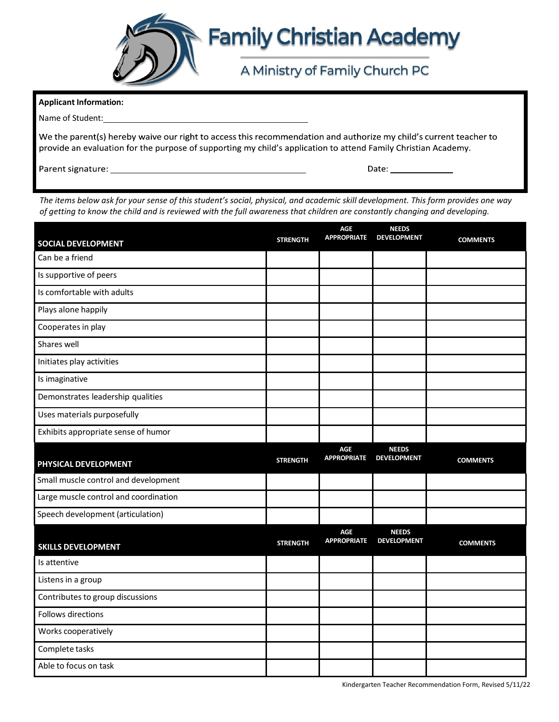

## **Family Christian Academy**

## A Ministry of Family Church PC

|  | <b>Applicant Information:</b> |
|--|-------------------------------|
|--|-------------------------------|

Name of Student:

We the parent(s) hereby waive our right to access this recommendation and authorize my child's current teacher to provide an evaluation for the purpose of supporting my child's application to attend Family Christian Academy.

The items below ask for your sense of this student's social, physical, and academic skill development. This form provides one way *of getting to know the child and is reviewed with the full awareness that children are constantly changing and developing.*

| <b>SOCIAL DEVELOPMENT</b>             | <b>STRENGTH</b> | <b>AGE</b><br><b>APPROPRIATE</b> | <b>NEEDS</b><br><b>DEVELOPMENT</b> | <b>COMMENTS</b> |
|---------------------------------------|-----------------|----------------------------------|------------------------------------|-----------------|
| Can be a friend                       |                 |                                  |                                    |                 |
| Is supportive of peers                |                 |                                  |                                    |                 |
| Is comfortable with adults            |                 |                                  |                                    |                 |
| Plays alone happily                   |                 |                                  |                                    |                 |
| Cooperates in play                    |                 |                                  |                                    |                 |
| Shares well                           |                 |                                  |                                    |                 |
| Initiates play activities             |                 |                                  |                                    |                 |
| Is imaginative                        |                 |                                  |                                    |                 |
| Demonstrates leadership qualities     |                 |                                  |                                    |                 |
| Uses materials purposefully           |                 |                                  |                                    |                 |
| Exhibits appropriate sense of humor   |                 |                                  |                                    |                 |
| PHYSICAL DEVELOPMENT                  | <b>STRENGTH</b> | <b>AGF</b><br><b>APPROPRIATE</b> | <b>NEEDS</b><br><b>DEVELOPMENT</b> | <b>COMMENTS</b> |
| Small muscle control and development  |                 |                                  |                                    |                 |
| Large muscle control and coordination |                 |                                  |                                    |                 |
| Speech development (articulation)     |                 |                                  |                                    |                 |
| <b>SKILLS DEVELOPMENT</b>             | <b>STRENGTH</b> | <b>AGE</b><br><b>APPROPRIATE</b> | <b>NEEDS</b><br><b>DEVELOPMENT</b> | <b>COMMENTS</b> |
| Is attentive                          |                 |                                  |                                    |                 |
| Listens in a group                    |                 |                                  |                                    |                 |
| Contributes to group discussions      |                 |                                  |                                    |                 |
| Follows directions                    |                 |                                  |                                    |                 |
| Works cooperatively                   |                 |                                  |                                    |                 |
| Complete tasks                        |                 |                                  |                                    |                 |
| Able to focus on task                 |                 |                                  |                                    |                 |